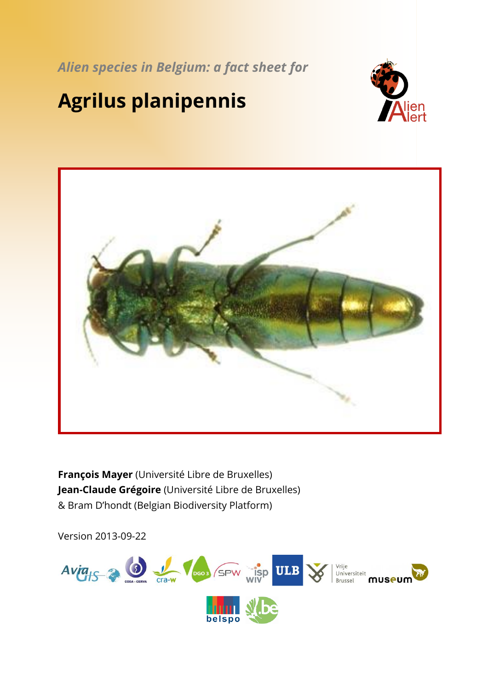*Alien species in Belgium: a fact sheet for*

# **Agrilus planipennis**





**François Mayer** (Université Libre de Bruxelles) **Jean-Claude Grégoire** (Université Libre de Bruxelles) & Bram D'hondt (Belgian Biodiversity Platform)

Version 2013-09-22

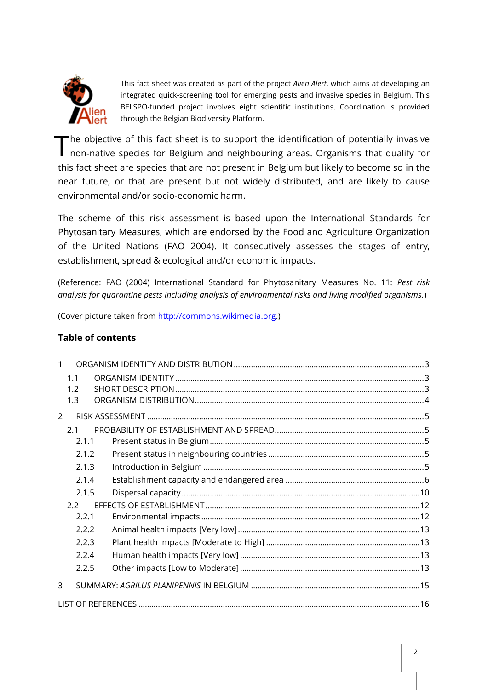

This fact sheet was created as part of the project *Alien Alert*, which aims at developing an integrated quick-screening tool for emerging pests and invasive species in Belgium. This BELSPO-funded project involves eight scientific institutions. Coordination is provided through the Belgian Biodiversity Platform.

he objective of this fact sheet is to support the identification of potentially invasive The objective of this fact sheet is to support the identification of potentially invasive<br>non-native species for Belgium and neighbouring areas. Organisms that qualify for this fact sheet are species that are not present in Belgium but likely to become so in the near future, or that are present but not widely distributed, and are likely to cause environmental and/or socio-economic harm.

The scheme of this risk assessment is based upon the International Standards for Phytosanitary Measures, which are endorsed by the Food and Agriculture Organization of the United Nations (FAO 2004). It consecutively assesses the stages of entry, establishment, spread & ecological and/or economic impacts.

(Reference: FAO (2004) International Standard for Phytosanitary Measures No. 11: *Pest risk analysis for quarantine pests including analysis of environmental risks and living modified organisms.*)

(Cover picture taken from [http://commons.wikimedia.org.](http://commons.wikimedia.org/))

#### **Table of contents**

|               | 1.1   |  |  |  |  |
|---------------|-------|--|--|--|--|
|               | 1.2   |  |  |  |  |
|               | 1.3   |  |  |  |  |
| $\mathcal{P}$ |       |  |  |  |  |
|               | 2.1   |  |  |  |  |
|               | 2.1.1 |  |  |  |  |
|               | 2.1.2 |  |  |  |  |
|               | 2.1.3 |  |  |  |  |
|               | 2.1.4 |  |  |  |  |
|               | 2.1.5 |  |  |  |  |
| $2.2^{\circ}$ |       |  |  |  |  |
|               | 2.2.1 |  |  |  |  |
|               | 2.2.2 |  |  |  |  |
|               | 2.2.3 |  |  |  |  |
|               | 2.2.4 |  |  |  |  |
|               | 2.2.5 |  |  |  |  |
| 3             |       |  |  |  |  |
|               |       |  |  |  |  |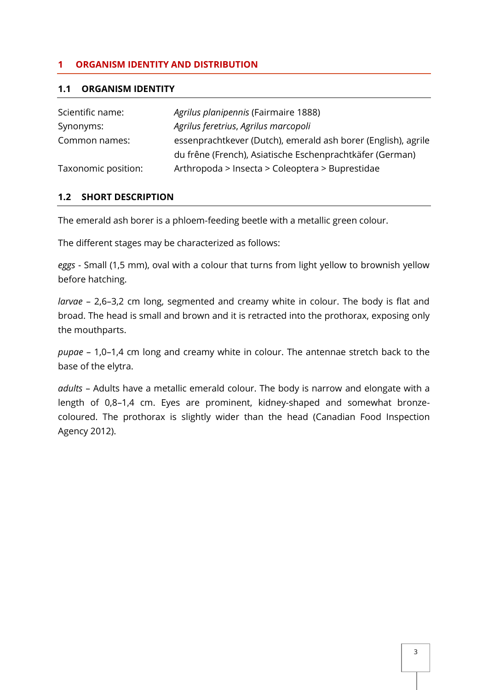#### <span id="page-2-0"></span>**1 ORGANISM IDENTITY AND DISTRIBUTION**

#### <span id="page-2-1"></span>**1.1 ORGANISM IDENTITY**

| Scientific name:    | Agrilus planipennis (Fairmaire 1888)                          |
|---------------------|---------------------------------------------------------------|
| Synonyms:           | Agrilus feretrius, Agrilus marcopoli                          |
| Common names:       | essenprachtkever (Dutch), emerald ash borer (English), agrile |
|                     | du frêne (French), Asiatische Eschenprachtkäfer (German)      |
| Taxonomic position: | Arthropoda > Insecta > Coleoptera > Buprestidae               |

#### <span id="page-2-2"></span>**1.2 SHORT DESCRIPTION**

The emerald ash borer is a phloem-feeding beetle with a metallic green colour.

The different stages may be characterized as follows:

*eggs* - Small (1,5 mm), oval with a colour that turns from light yellow to brownish yellow before hatching.

*larvae* – 2,6–3,2 cm long, segmented and creamy white in colour. The body is flat and broad. The head is small and brown and it is retracted into the prothorax, exposing only the mouthparts.

*pupae* – 1,0–1,4 cm long and creamy white in colour. The antennae stretch back to the base of the elytra.

*adults* – Adults have a metallic emerald colour. The body is narrow and elongate with a length of 0,8–1,4 cm. Eyes are prominent, kidney-shaped and somewhat bronzecoloured. The prothorax is slightly wider than the head (Canadian Food Inspection Agency 2012).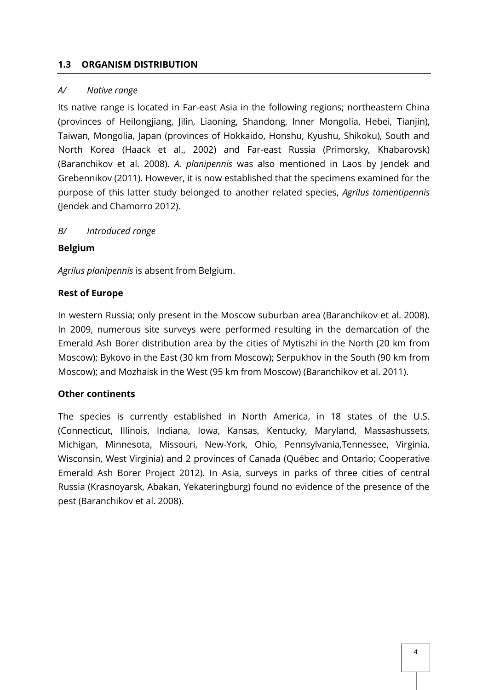#### <span id="page-3-0"></span>**1.3 ORGANISM DISTRIBUTION**

#### *A/ Native range*

Its native range is located in Far-east Asia in the following regions; northeastern China (provinces of Heilongjiang, Jilin, Liaoning, Shandong, Inner Mongolia, Hebei, Tianjin), Taiwan, Mongolia, Japan (provinces of Hokkaido, Honshu, Kyushu, Shikoku), South and North Korea (Haack et al., 2002) and Far-east Russia (Primorsky, Khabarovsk) (Baranchikov et al. 2008). *A. planipennis* was also mentioned in Laos by Jendek and Grebennikov (2011). However, it is now established that the specimens examined for the purpose of this latter study belonged to another related species, *Agrilus tomentipennis* (Jendek and Chamorro 2012).

#### *B/ Introduced range*

#### **Belgium**

*Agrilus planipennis* is absent from Belgium.

#### **Rest of Europe**

In western Russia; only present in the Moscow suburban area (Baranchikov et al. 2008). In 2009, numerous site surveys were performed resulting in the demarcation of the Emerald Ash Borer distribution area by the cities of Mytiszhi in the North (20 km from Moscow); Bykovo in the East (30 km from Moscow); Serpukhov in the South (90 km from Moscow); and Mozhaisk in the West (95 km from Moscow) (Baranchikov et al. 2011).

#### **Other continents**

The species is currently established in North America, in 18 states of the U.S. (Connecticut, Illinois, Indiana, Iowa, Kansas, Kentucky, Maryland, Massashussets, Michigan, Minnesota, Missouri, New-York, Ohio, Pennsylvania,Tennessee, Virginia, Wisconsin, West Virginia) and 2 provinces of Canada (Québec and Ontario; Cooperative Emerald Ash Borer Project 2012). In Asia, surveys in parks of three cities of central Russia (Krasnoyarsk, Abakan, Yekateringburg) found no evidence of the presence of the pest (Baranchikov et al. 2008).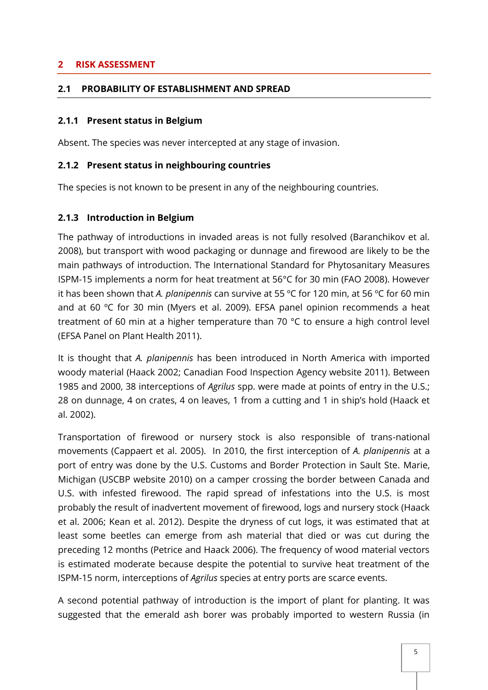#### <span id="page-4-0"></span>**2 RISK ASSESSMENT**

#### <span id="page-4-1"></span>**2.1 PROBABILITY OF ESTABLISHMENT AND SPREAD**

#### <span id="page-4-2"></span>**2.1.1 Present status in Belgium**

Absent. The species was never intercepted at any stage of invasion.

#### <span id="page-4-3"></span>**2.1.2 Present status in neighbouring countries**

The species is not known to be present in any of the neighbouring countries.

#### <span id="page-4-4"></span>**2.1.3 Introduction in Belgium**

The pathway of introductions in invaded areas is not fully resolved (Baranchikov et al. 2008), but transport with wood packaging or dunnage and firewood are likely to be the main pathways of introduction. The International Standard for Phytosanitary Measures ISPM-15 implements a norm for heat treatment at 56°C for 30 min (FAO 2008). However it has been shown that *A. planipennis* can survive at 55 ºC for 120 min, at 56 ºC for 60 min and at 60 ºC for 30 min (Myers et al. 2009). EFSA panel opinion recommends a heat treatment of 60 min at a higher temperature than 70 °C to ensure a high control level (EFSA Panel on Plant Health 2011).

It is thought that *A. planipennis* has been introduced in North America with imported woody material (Haack 2002; Canadian Food Inspection Agency website 2011). Between 1985 and 2000, 38 interceptions of *Agrilus* spp. were made at points of entry in the U.S.; 28 on dunnage, 4 on crates, 4 on leaves, 1 from a cutting and 1 in ship's hold (Haack et al. 2002).

Transportation of firewood or nursery stock is also responsible of trans-national movements (Cappaert et al. 2005). In 2010, the first interception of *A. planipennis* at a port of entry was done by the U.S. Customs and Border Protection in Sault Ste. Marie, Michigan (USCBP website 2010) on a camper crossing the border between Canada and U.S. with infested firewood. The rapid spread of infestations into the U.S. is most probably the result of inadvertent movement of firewood, logs and nursery stock (Haack et al. 2006; Kean et al. 2012). Despite the dryness of cut logs, it was estimated that at least some beetles can emerge from ash material that died or was cut during the preceding 12 months (Petrice and Haack 2006). The frequency of wood material vectors is estimated moderate because despite the potential to survive heat treatment of the ISPM-15 norm, interceptions of *Agrilus* species at entry ports are scarce events.

A second potential pathway of introduction is the import of plant for planting. It was suggested that the emerald ash borer was probably imported to western Russia (in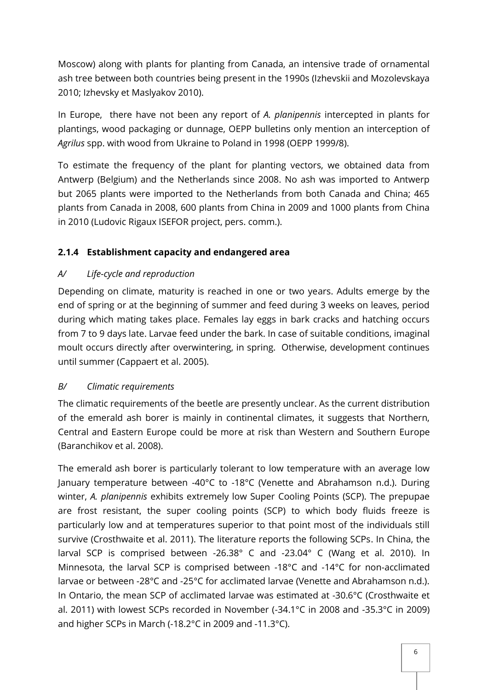Moscow) along with plants for planting from Canada, an intensive trade of ornamental ash tree between both countries being present in the 1990s (Izhevskii and Mozolevskaya 2010; Izhevsky et Maslyakov 2010).

In Europe, there have not been any report of *A. planipennis* intercepted in plants for plantings, wood packaging or dunnage, OEPP bulletins only mention an interception of *Agrilus* spp. with wood from Ukraine to Poland in 1998 (OEPP 1999/8).

To estimate the frequency of the plant for planting vectors, we obtained data from Antwerp (Belgium) and the Netherlands since 2008. No ash was imported to Antwerp but 2065 plants were imported to the Netherlands from both Canada and China; 465 plants from Canada in 2008, 600 plants from China in 2009 and 1000 plants from China in 2010 (Ludovic Rigaux ISEFOR project, pers. comm.).

# <span id="page-5-0"></span>**2.1.4 Establishment capacity and endangered area**

# *A/ Life-cycle and reproduction*

Depending on climate, maturity is reached in one or two years. Adults emerge by the end of spring or at the beginning of summer and feed during 3 weeks on leaves, period during which mating takes place. Females lay eggs in bark cracks and hatching occurs from 7 to 9 days late. Larvae feed under the bark. In case of suitable conditions, imaginal moult occurs directly after overwintering, in spring. Otherwise, development continues until summer (Cappaert et al. 2005).

### *B/ Climatic requirements*

The climatic requirements of the beetle are presently unclear. As the current distribution of the emerald ash borer is mainly in continental climates, it suggests that Northern, Central and Eastern Europe could be more at risk than Western and Southern Europe (Baranchikov et al. 2008).

The emerald ash borer is particularly tolerant to low temperature with an average low January temperature between -40°C to -18°C (Venette and Abrahamson n.d.). During winter, *A. planipennis* exhibits extremely low Super Cooling Points (SCP). The prepupae are frost resistant, the super cooling points (SCP) to which body fluids freeze is particularly low and at temperatures superior to that point most of the individuals still survive (Crosthwaite et al. 2011). The literature reports the following SCPs. In China, the larval SCP is comprised between -26.38° C and -23.04° C (Wang et al. 2010). In Minnesota, the larval SCP is comprised between -18°C and -14°C for non-acclimated larvae or between -28°C and -25°C for acclimated larvae (Venette and Abrahamson n.d.). In Ontario, the mean SCP of acclimated larvae was estimated at -30.6°C (Crosthwaite et al. 2011) with lowest SCPs recorded in November (-34.1°C in 2008 and -35.3°C in 2009) and higher SCPs in March (-18.2°C in 2009 and -11.3°C).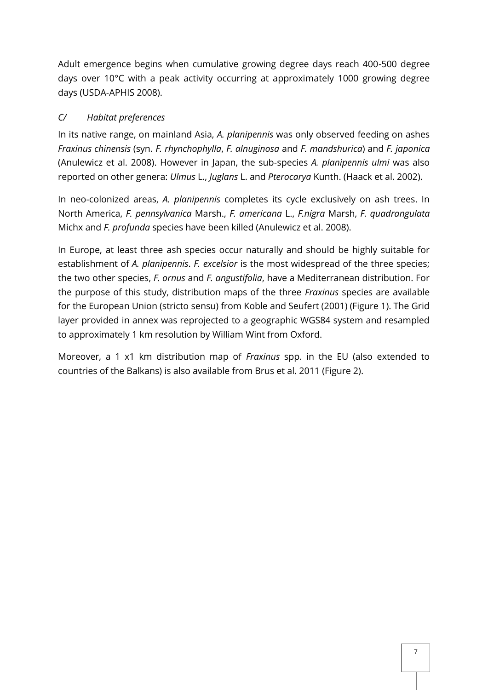Adult emergence begins when cumulative growing degree days reach 400-500 degree days over 10°C with a peak activity occurring at approximately 1000 growing degree days (USDA-APHIS 2008).

# *C/ Habitat preferences*

In its native range, on mainland Asia, *A. planipennis* was only observed feeding on ashes *Fraxinus chinensis* (syn. *F. rhynchophylla*, *F. alnuginosa* and *F. mandshurica*) and *F. japonica* (Anulewicz et al. 2008). However in Japan, the sub-species *A. planipennis ulmi* was also reported on other genera: *Ulmus* L., *Juglans* L. and *Pterocarya* Kunth. (Haack et al. 2002).

In neo-colonized areas, *A. planipennis* completes its cycle exclusively on ash trees. In North America, *F. pennsylvanica* Marsh., *F. americana* L., *F.nigra* Marsh, *F. quadrangulata* Michx and *F. profunda* species have been killed (Anulewicz et al. 2008).

In Europe, at least three ash species occur naturally and should be highly suitable for establishment of *A. planipennis*. *F. excelsior* is the most widespread of the three species; the two other species, *F. ornus* and *F. angustifolia*, have a Mediterranean distribution. For the purpose of this study, distribution maps of the three *Fraxinus* species are available for the European Union (stricto sensu) from Koble and Seufert (2001) (Figure 1). The Grid layer provided in annex was reprojected to a geographic WGS84 system and resampled to approximately 1 km resolution by William Wint from Oxford.

Moreover, a 1 x1 km distribution map of *Fraxinus* spp. in the EU (also extended to countries of the Balkans) is also available from Brus et al. 2011 (Figure 2).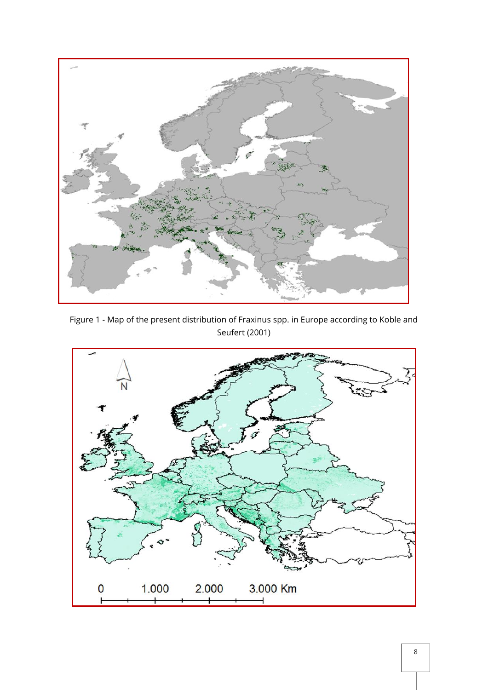

Figure 1 - Map of the present distribution of Fraxinus spp. in Europe according to Koble and Seufert (2001)

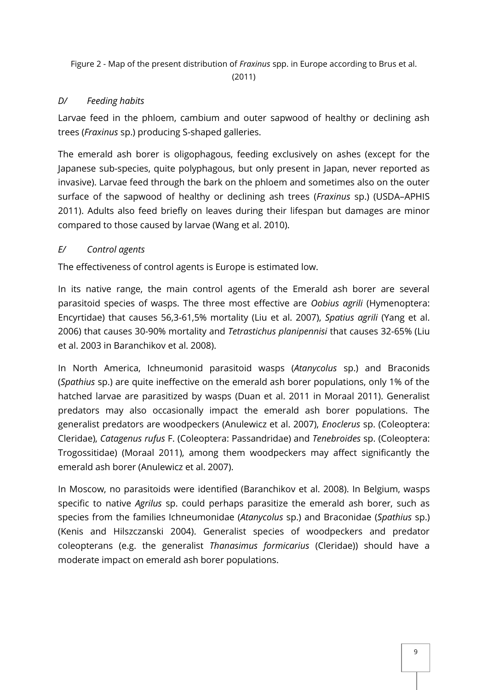Figure 2 - Map of the present distribution of *Fraxinus* spp. in Europe according to Brus et al.

(2011)

# *D/ Feeding habits*

Larvae feed in the phloem, cambium and outer sapwood of healthy or declining ash trees (*Fraxinus* sp.) producing S-shaped galleries.

The emerald ash borer is oligophagous, feeding exclusively on ashes (except for the Japanese sub-species, quite polyphagous, but only present in Japan, never reported as invasive). Larvae feed through the bark on the phloem and sometimes also on the outer surface of the sapwood of healthy or declining ash trees (*Fraxinus* sp.) (USDA–APHIS 2011). Adults also feed briefly on leaves during their lifespan but damages are minor compared to those caused by larvae (Wang et al. 2010).

# *E/ Control agents*

The effectiveness of control agents is Europe is estimated low.

In its native range, the main control agents of the Emerald ash borer are several parasitoid species of wasps. The three most effective are *Oobius agrili* (Hymenoptera: Encyrtidae) that causes 56,3-61,5% mortality (Liu et al. 2007), *Spatius agrili* (Yang et al. 2006) that causes 30-90% mortality and *Tetrastichus planipennisi* that causes 32-65% (Liu et al. 2003 in Baranchikov et al. 2008).

In North America, Ichneumonid parasitoid wasps (*Atanycolus* sp.) and Braconids (*Spathius* sp.) are quite ineffective on the emerald ash borer populations, only 1% of the hatched larvae are parasitized by wasps (Duan et al. 2011 in Moraal 2011). Generalist predators may also occasionally impact the emerald ash borer populations. The generalist predators are woodpeckers (Anulewicz et al. 2007), *Enoclerus* sp. (Coleoptera: Cleridae), *Catagenus rufus* F. (Coleoptera: Passandridae) and *Tenebroides* sp. (Coleoptera: Trogossitidae) (Moraal 2011), among them woodpeckers may affect significantly the emerald ash borer (Anulewicz et al. 2007).

In Moscow, no parasitoids were identified (Baranchikov et al. 2008). In Belgium, wasps specific to native *Agrilus* sp. could perhaps parasitize the emerald ash borer, such as species from the families Ichneumonidae (*Atanycolus* sp.) and Braconidae (*Spathius* sp.) (Kenis and Hilszczanski 2004). Generalist species of woodpeckers and predator coleopterans (e.g. the generalist *Thanasimus formicarius* (Cleridae)) should have a moderate impact on emerald ash borer populations.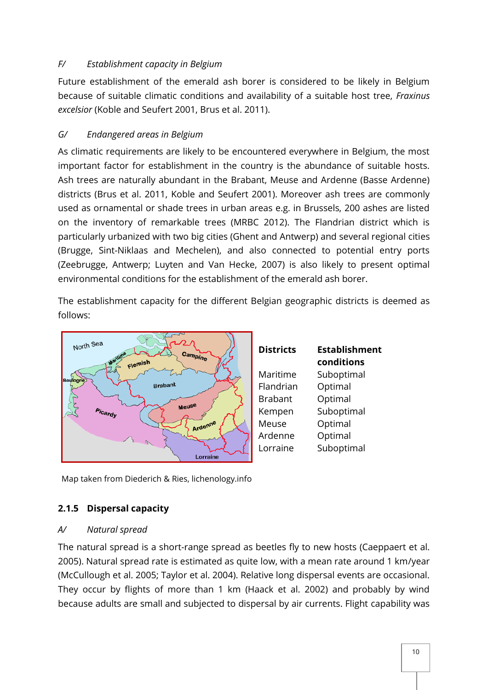#### *F/ Establishment capacity in Belgium*

Future establishment of the emerald ash borer is considered to be likely in Belgium because of suitable climatic conditions and availability of a suitable host tree, *Fraxinus excelsior* (Koble and Seufert 2001, Brus et al. 2011).

# *G/ Endangered areas in Belgium*

As climatic requirements are likely to be encountered everywhere in Belgium, the most important factor for establishment in the country is the abundance of suitable hosts. Ash trees are naturally abundant in the Brabant, Meuse and Ardenne (Basse Ardenne) districts (Brus et al. 2011, Koble and Seufert 2001). Moreover ash trees are commonly used as ornamental or shade trees in urban areas e.g. in Brussels, 200 ashes are listed on the inventory of remarkable trees (MRBC 2012). The Flandrian district which is particularly urbanized with two big cities (Ghent and Antwerp) and several regional cities (Brugge, Sint-Niklaas and Mechelen), and also connected to potential entry ports (Zeebrugge, Antwerp; Luyten and Van Hecke, 2007) is also likely to present optimal environmental conditions for the establishment of the emerald ash borer.

The establishment capacity for the different Belgian geographic districts is deemed as follows:



| <b>Districts</b> | <b>Establishment</b><br>conditions |
|------------------|------------------------------------|
| Maritime         | Suboptimal                         |
| Flandrian        | Optimal                            |
| <b>Brabant</b>   | Optimal                            |
| Kempen           | Suboptimal                         |
| Meuse            | Optimal                            |
| Ardenne          | Optimal                            |
| Lorraine         | Suboptimal                         |

Map taken from Diederich & Ries, lichenology.info

### <span id="page-9-0"></span>**2.1.5 Dispersal capacity**

### *A/ Natural spread*

The natural spread is a short-range spread as beetles fly to new hosts (Caeppaert et al. 2005). Natural spread rate is estimated as quite low, with a mean rate around 1 km/year (McCullough et al. 2005; Taylor et al. 2004). Relative long dispersal events are occasional. They occur by flights of more than 1 km (Haack et al. 2002) and probably by wind because adults are small and subjected to dispersal by air currents. Flight capability was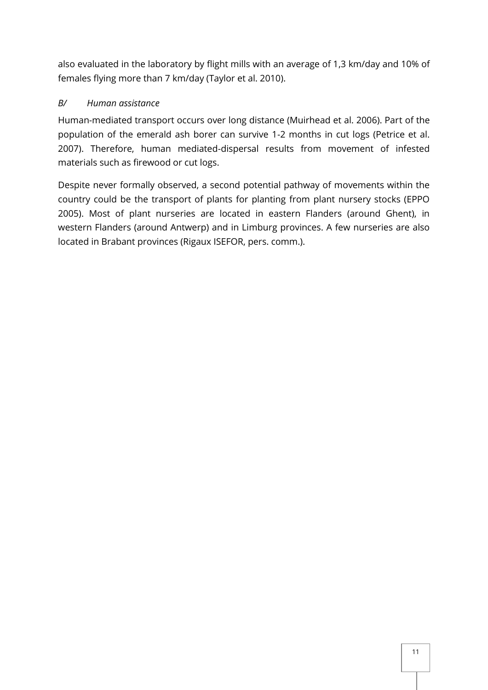also evaluated in the laboratory by flight mills with an average of 1,3 km/day and 10% of females flying more than 7 km/day (Taylor et al. 2010).

# *B/ Human assistance*

Human-mediated transport occurs over long distance (Muirhead et al. 2006). Part of the population of the emerald ash borer can survive 1-2 months in cut logs (Petrice et al. 2007). Therefore, human mediated-dispersal results from movement of infested materials such as firewood or cut logs.

Despite never formally observed, a second potential pathway of movements within the country could be the transport of plants for planting from plant nursery stocks (EPPO 2005). Most of plant nurseries are located in eastern Flanders (around Ghent), in western Flanders (around Antwerp) and in Limburg provinces. A few nurseries are also located in Brabant provinces (Rigaux ISEFOR, pers. comm.).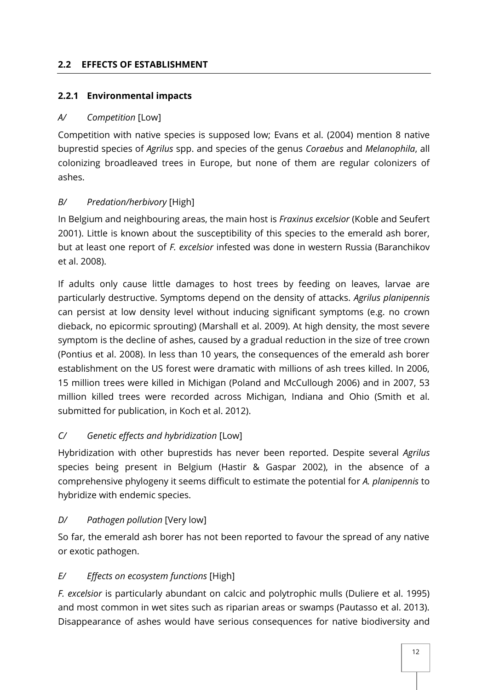#### <span id="page-11-0"></span>**2.2 EFFECTS OF ESTABLISHMENT**

#### <span id="page-11-1"></span>**2.2.1 Environmental impacts**

#### *A/ Competition* [Low]

Competition with native species is supposed low; Evans et al. (2004) mention 8 native buprestid species of *Agrilus* spp. and species of the genus *Coraebus* and *Melanophila*, all colonizing broadleaved trees in Europe, but none of them are regular colonizers of ashes.

### *B/ Predation/herbivory* [High]

In Belgium and neighbouring areas, the main host is *Fraxinus excelsior* (Koble and Seufert 2001). Little is known about the susceptibility of this species to the emerald ash borer, but at least one report of *F. excelsior* infested was done in western Russia (Baranchikov et al. 2008).

If adults only cause little damages to host trees by feeding on leaves, larvae are particularly destructive. Symptoms depend on the density of attacks. *Agrilus planipennis* can persist at low density level without inducing significant symptoms (e.g. no crown dieback, no epicormic sprouting) (Marshall et al. 2009). At high density, the most severe symptom is the decline of ashes, caused by a gradual reduction in the size of tree crown (Pontius et al. 2008). In less than 10 years, the consequences of the emerald ash borer establishment on the US forest were dramatic with millions of ash trees killed. In 2006, 15 million trees were killed in Michigan (Poland and McCullough 2006) and in 2007, 53 million killed trees were recorded across Michigan, Indiana and Ohio (Smith et al. submitted for publication, in Koch et al. 2012).

### *C/ Genetic effects and hybridization* [Low]

Hybridization with other buprestids has never been reported. Despite several *Agrilus* species being present in Belgium (Hastir & Gaspar 2002), in the absence of a comprehensive phylogeny it seems difficult to estimate the potential for *A. planipennis* to hybridize with endemic species.

### *D/ Pathogen pollution* [Very low]

So far, the emerald ash borer has not been reported to favour the spread of any native or exotic pathogen.

### *E/ Effects on ecosystem functions* [High]

*F. excelsior* is particularly abundant on calcic and polytrophic mulls (Duliere et al. 1995) and most common in wet sites such as riparian areas or swamps (Pautasso et al. 2013). Disappearance of ashes would have serious consequences for native biodiversity and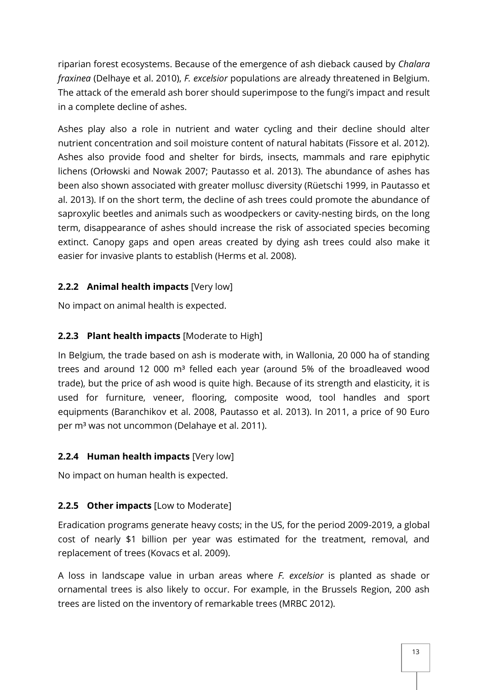riparian forest ecosystems. Because of the emergence of ash dieback caused by *Chalara fraxinea* (Delhaye et al. 2010), *F. excelsior* populations are already threatened in Belgium. The attack of the emerald ash borer should superimpose to the fungi's impact and result in a complete decline of ashes.

Ashes play also a role in nutrient and water cycling and their decline should alter nutrient concentration and soil moisture content of natural habitats (Fissore et al. 2012). Ashes also provide food and shelter for birds, insects, mammals and rare epiphytic lichens (Orłowski and Nowak 2007; Pautasso et al. 2013). The abundance of ashes has been also shown associated with greater mollusc diversity (Rüetschi 1999, in Pautasso et al. 2013). If on the short term, the decline of ash trees could promote the abundance of saproxylic beetles and animals such as woodpeckers or cavity-nesting birds, on the long term, disappearance of ashes should increase the risk of associated species becoming extinct. Canopy gaps and open areas created by dying ash trees could also make it easier for invasive plants to establish (Herms et al. 2008).

# <span id="page-12-0"></span>**2.2.2 Animal health impacts** [Very low]

No impact on animal health is expected.

# <span id="page-12-1"></span>**2.2.3 Plant health impacts** [Moderate to High]

In Belgium, the trade based on ash is moderate with, in Wallonia, 20 000 ha of standing trees and around 12 000  $m<sup>3</sup>$  felled each year (around 5% of the broadleaved wood trade), but the price of ash wood is quite high. Because of its strength and elasticity, it is used for furniture, veneer, flooring, composite wood, tool handles and sport equipments (Baranchikov et al. 2008, Pautasso et al. 2013). In 2011, a price of 90 Euro per m³ was not uncommon (Delahaye et al. 2011).

### <span id="page-12-2"></span>**2.2.4 Human health impacts** [Very low]

No impact on human health is expected.

### <span id="page-12-3"></span>**2.2.5 Other impacts** [Low to Moderate]

Eradication programs generate heavy costs; in the US, for the period 2009-2019, a global cost of nearly \$1 billion per year was estimated for the treatment, removal, and replacement of trees (Kovacs et al. 2009).

A loss in landscape value in urban areas where *F. excelsior* is planted as shade or ornamental trees is also likely to occur. For example, in the Brussels Region, 200 ash trees are listed on the inventory of remarkable trees (MRBC 2012).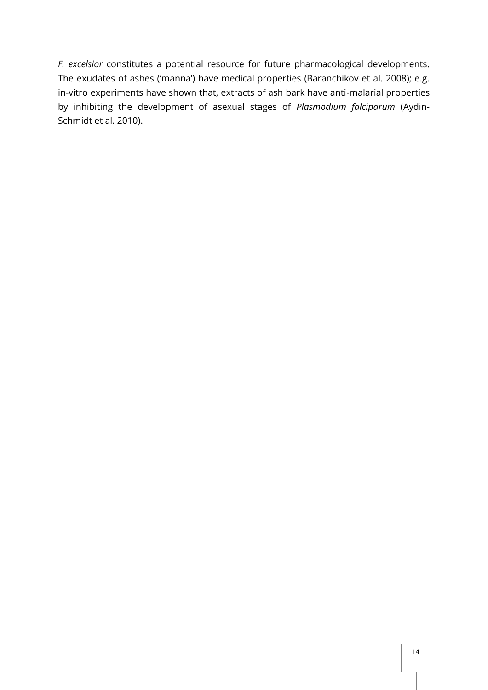*F. excelsior* constitutes a potential resource for future pharmacological developments. The exudates of ashes ('manna') have medical properties (Baranchikov et al. 2008); e.g. in-vitro experiments have shown that, extracts of ash bark have anti-malarial properties by inhibiting the development of asexual stages of *Plasmodium falciparum* (Aydin-Schmidt et al. 2010).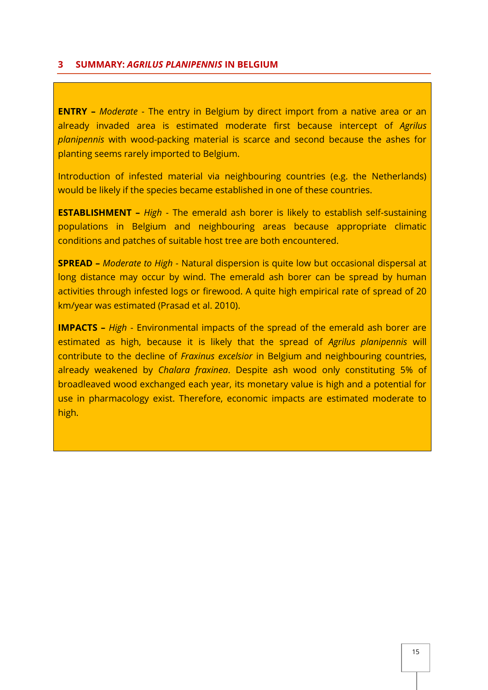#### <span id="page-14-0"></span>**3 SUMMARY:** *AGRILUS PLANIPENNIS* **IN BELGIUM**

**ENTRY –** *Moderate* - The entry in Belgium by direct import from a native area or an already invaded area is estimated moderate first because intercept of *Agrilus planipennis* with wood-packing material is scarce and second because the ashes for planting seems rarely imported to Belgium.

Introduction of infested material via neighbouring countries (e.g. the Netherlands) would be likely if the species became established in one of these countries.

**ESTABLISHMENT –** *High* - The emerald ash borer is likely to establish self-sustaining populations in Belgium and neighbouring areas because appropriate climatic conditions and patches of suitable host tree are both encountered.

**SPREAD –** *Moderate to High* - Natural dispersion is quite low but occasional dispersal at long distance may occur by wind. The emerald ash borer can be spread by human activities through infested logs or firewood. A quite high empirical rate of spread of 20 km/year was estimated (Prasad et al. 2010).

**IMPACTS –** *High* - Environmental impacts of the spread of the emerald ash borer are estimated as high, because it is likely that the spread of *Agrilus planipennis* will contribute to the decline of *Fraxinus excelsior* in Belgium and neighbouring countries, already weakened by *Chalara fraxinea*. Despite ash wood only constituting 5% of broadleaved wood exchanged each year, its monetary value is high and a potential for use in pharmacology exist. Therefore, economic impacts are estimated moderate to high.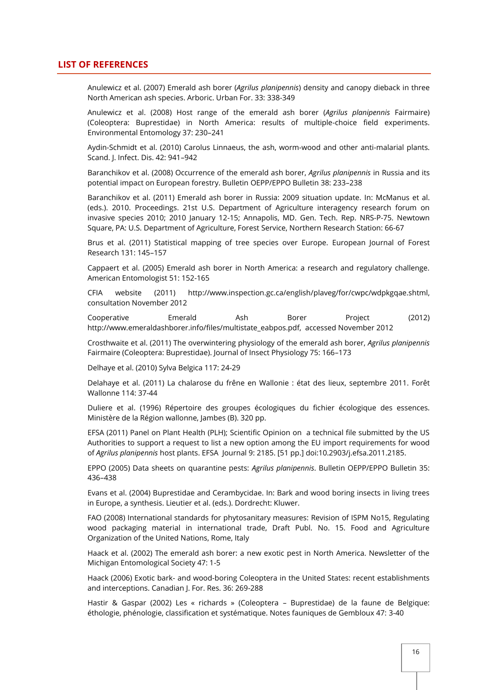#### <span id="page-15-0"></span>**LIST OF REFERENCES**

Anulewicz et al. (2007) Emerald ash borer (*Agrilus planipennis*) density and canopy dieback in three North American ash species. Arboric. Urban For. 33: 338-349

Anulewicz et al. (2008) Host range of the emerald ash borer (*Agrilus planipennis* Fairmaire) (Coleoptera: Buprestidae) in North America: results of multiple-choice field experiments. Environmental Entomology 37: 230–241

Aydin-Schmidt et al. (2010) Carolus Linnaeus, the ash, worm-wood and other anti-malarial plants. Scand. J. Infect. Dis. 42: 941–942

Baranchikov et al. (2008) Occurrence of the emerald ash borer, *Agrilus planipennis* in Russia and its potential impact on European forestry. Bulletin OEPP/EPPO Bulletin 38: 233–238

Baranchikov et al. (2011) Emerald ash borer in Russia: 2009 situation update. In: McManus et al. (eds.). 2010. Proceedings. 21st U.S. Department of Agriculture interagency research forum on invasive species 2010; 2010 January 12-15; Annapolis, MD. Gen. Tech. Rep. NRS-P-75. Newtown Square, PA: U.S. Department of Agriculture, Forest Service, Northern Research Station: 66-67

Brus et al. (2011) Statistical mapping of tree species over Europe. European Journal of Forest Research 131: 145–157

Cappaert et al. (2005) Emerald ash borer in North America: a research and regulatory challenge. American Entomologist 51: 152-165

CFIA website (2011) http://www.inspection.gc.ca/english/plaveg/for/cwpc/wdpkgqae.shtml, consultation November 2012

Cooperative Emerald Ash Borer Project (2012) http://www.emeraldashborer.info/files/multistate\_eabpos.pdf, accessed November 2012

Crosthwaite et al. (2011) The overwintering physiology of the emerald ash borer, *Agrilus planipennis* Fairmaire (Coleoptera: Buprestidae). Journal of Insect Physiology 75: 166–173

Delhaye et al. (2010) Sylva Belgica 117: 24-29

Delahaye et al. (2011) La chalarose du frêne en Wallonie : état des lieux, septembre 2011. Forêt Wallonne 114: 37-44

Duliere et al. (1996) Répertoire des groupes écologiques du fichier écologique des essences. Ministère de la Région wallonne, Jambes (B). 320 pp.

EFSA (2011) Panel on Plant Health (PLH); Scientific Opinion on a technical file submitted by the US Authorities to support a request to list a new option among the EU import requirements for wood of *Agrilus planipennis* host plants. EFSA Journal 9: 2185. [51 pp.] doi:10.2903/j.efsa.2011.2185.

EPPO (2005) Data sheets on quarantine pests: *Agrilus planipennis*. Bulletin OEPP/EPPO Bulletin 35: 436–438

Evans et al. (2004) Buprestidae and Cerambycidae. In: Bark and wood boring insects in living trees in Europe, a synthesis. Lieutier et al. (eds.). Dordrecht: Kluwer.

FAO (2008) International standards for phytosanitary measures: Revision of ISPM No15, Regulating wood packaging material in international trade, Draft Publ. No. 15. Food and Agriculture Organization of the United Nations, Rome, Italy

Haack et al. (2002) The emerald ash borer: a new exotic pest in North America. Newsletter of the Michigan Entomological Society 47: 1-5

Haack (2006) Exotic bark- and wood-boring Coleoptera in the United States: recent establishments and interceptions. Canadian J. For. Res. 36: 269-288

Hastir & Gaspar (2002) Les « richards » (Coleoptera – Buprestidae) de la faune de Belgique: éthologie, phénologie, classification et systématique. Notes fauniques de Gembloux 47: 3-40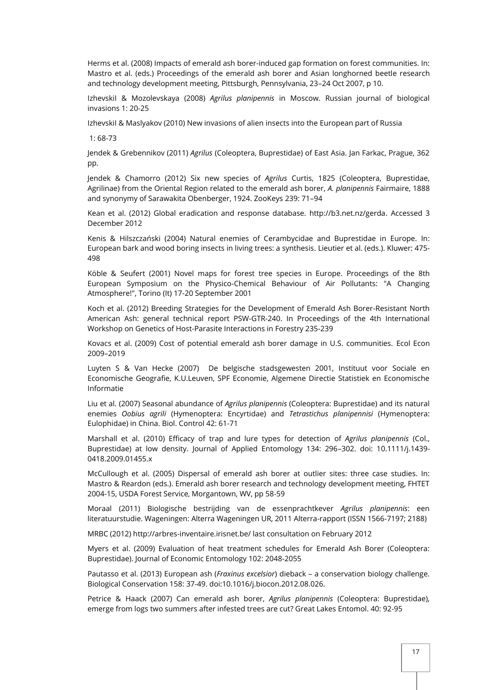Herms et al. (2008) Impacts of emerald ash borer-induced gap formation on forest communities. In: Mastro et al. (eds.) Proceedings of the emerald ash borer and Asian longhorned beetle research and technology development meeting, Pittsburgh, Pennsylvania, 23–24 Oct 2007, p 10.

IzhevskiI & Mozolevskaya (2008) *Agrilus planipennis* in Moscow. Russian journal of biological invasions 1: 20-25

IzhevskiI & Maslyakov (2010) New invasions of alien insects into the European part of Russia

1: 68-73

Jendek & Grebennikov (2011) *Agrilus* (Coleoptera, Buprestidae) of East Asia. Jan Farkac, Prague, 362 pp.

Jendek & Chamorro (2012) Six new species of *Agrilus* Curtis, 1825 (Coleoptera, Buprestidae, Agrilinae) from the Oriental Region related to the emerald ash borer, *A. planipennis* Fairmaire, 1888 and synonymy of Sarawakita Obenberger, 1924. ZooKeys 239: 71–94

Kean et al. (2012) Global eradication and response database. http://b3.net.nz/gerda. Accessed 3 December 2012

Kenis & Hilszczański (2004) Natural enemies of Cerambycidae and Buprestidae in Europe. In: European bark and wood boring insects in living trees: a synthesis. Lieutier et al. (eds.). Kluwer: 475- 498

Köble & Seufert (2001) Novel maps for forest tree species in Europe. Proceedings of the 8th European Symposium on the Physico-Chemical Behaviour of Air Pollutants: "A Changing Atmosphere!", Torino (It) 17-20 September 2001

Koch et al. (2012) Breeding Strategies for the Development of Emerald Ash Borer-Resistant North American Ash: general technical report PSW-GTR-240. In Proceedings of the 4th International Workshop on Genetics of Host-Parasite Interactions in Forestry 235-239

Kovacs et al. (2009) Cost of potential emerald ash borer damage in U.S. communities. Ecol Econ 2009–2019

Luyten S & Van Hecke (2007) De belgische stadsgewesten 2001, Instituut voor Sociale en Economische Geografie, K.U.Leuven, SPF Economie, Algemene Directie Statistiek en Economische Informatie

Liu et al. (2007) Seasonal abundance of *Agrilus planipennis* (Coleoptera: Buprestidae) and its natural enemies *Oobius agrili* (Hymenoptera: Encyrtidae) and *Tetrastichus planipennisi* (Hymenoptera: Eulophidae) in China. Biol. Control 42: 61-71

Marshall et al. (2010) Efficacy of trap and lure types for detection of *Agrilus planipennis* (Col., Buprestidae) at low density. Journal of Applied Entomology 134: 296–302. doi: 10.1111/j.1439- 0418.2009.01455.x

McCullough et al. (2005) Dispersal of emerald ash borer at outlier sites: three case studies. In: Mastro & Reardon (eds.). Emerald ash borer research and technology development meeting, FHTET 2004-15, USDA Forest Service, Morgantown, WV, pp 58-59

Moraal (2011) Biologische bestrijding van de essenprachtkever *Agrilus planipennis*: een literatuurstudie. Wageningen: Alterra Wageningen UR, 2011 Alterra-rapport (ISSN 1566-7197; 2188)

MRBC (2012) http://arbres-inventaire.irisnet.be/ last consultation on February 2012

Myers et al. (2009) Evaluation of heat treatment schedules for Emerald Ash Borer (Coleoptera: Buprestidae). Journal of Economic Entomology 102: 2048-2055

Pautasso et al. (2013) European ash (*Fraxinus excelsior*) dieback – a conservation biology challenge. Biological Conservation 158: 37-49. doi:10.1016/j.biocon.2012.08.026.

Petrice & Haack (2007) Can emerald ash borer, *Agrilus planipennis* (Coleoptera: Buprestidae), emerge from logs two summers after infested trees are cut? Great Lakes Entomol. 40: 92-95